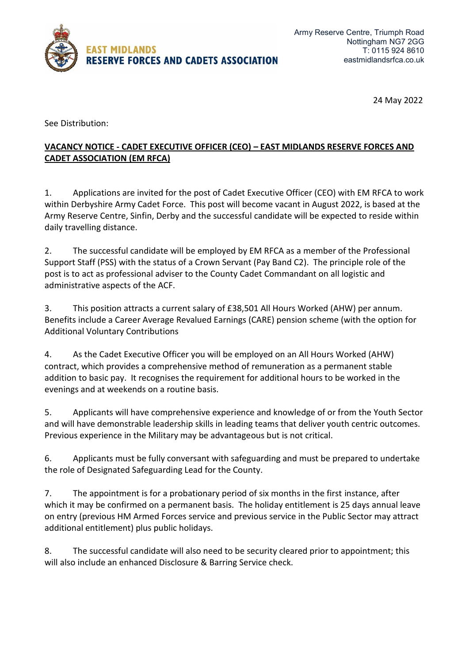

24 May 2022

See Distribution:

## **VACANCY NOTICE - CADET EXECUTIVE OFFICER (CEO) – EAST MIDLANDS RESERVE FORCES AND CADET ASSOCIATION (EM RFCA)**

1. Applications are invited for the post of Cadet Executive Officer (CEO) with EM RFCA to work within Derbyshire Army Cadet Force. This post will become vacant in August 2022, is based at the Army Reserve Centre, Sinfin, Derby and the successful candidate will be expected to reside within daily travelling distance.

2. The successful candidate will be employed by EM RFCA as a member of the Professional Support Staff (PSS) with the status of a Crown Servant (Pay Band C2). The principle role of the post is to act as professional adviser to the County Cadet Commandant on all logistic and administrative aspects of the ACF.

3. This position attracts a current salary of £38,501 All Hours Worked (AHW) per annum. Benefits include a Career Average Revalued Earnings (CARE) pension scheme (with the option for Additional Voluntary Contributions

4. As the Cadet Executive Officer you will be employed on an All Hours Worked (AHW) contract, which provides a comprehensive method of remuneration as a permanent stable addition to basic pay. It recognises the requirement for additional hours to be worked in the evenings and at weekends on a routine basis.

5. Applicants will have comprehensive experience and knowledge of or from the Youth Sector and will have demonstrable leadership skills in leading teams that deliver youth centric outcomes. Previous experience in the Military may be advantageous but is not critical.

6. Applicants must be fully conversant with safeguarding and must be prepared to undertake the role of Designated Safeguarding Lead for the County.

7. The appointment is for a probationary period of six months in the first instance, after which it may be confirmed on a permanent basis. The holiday entitlement is 25 days annual leave on entry (previous HM Armed Forces service and previous service in the Public Sector may attract additional entitlement) plus public holidays.

8. The successful candidate will also need to be security cleared prior to appointment; this will also include an enhanced Disclosure & Barring Service check.